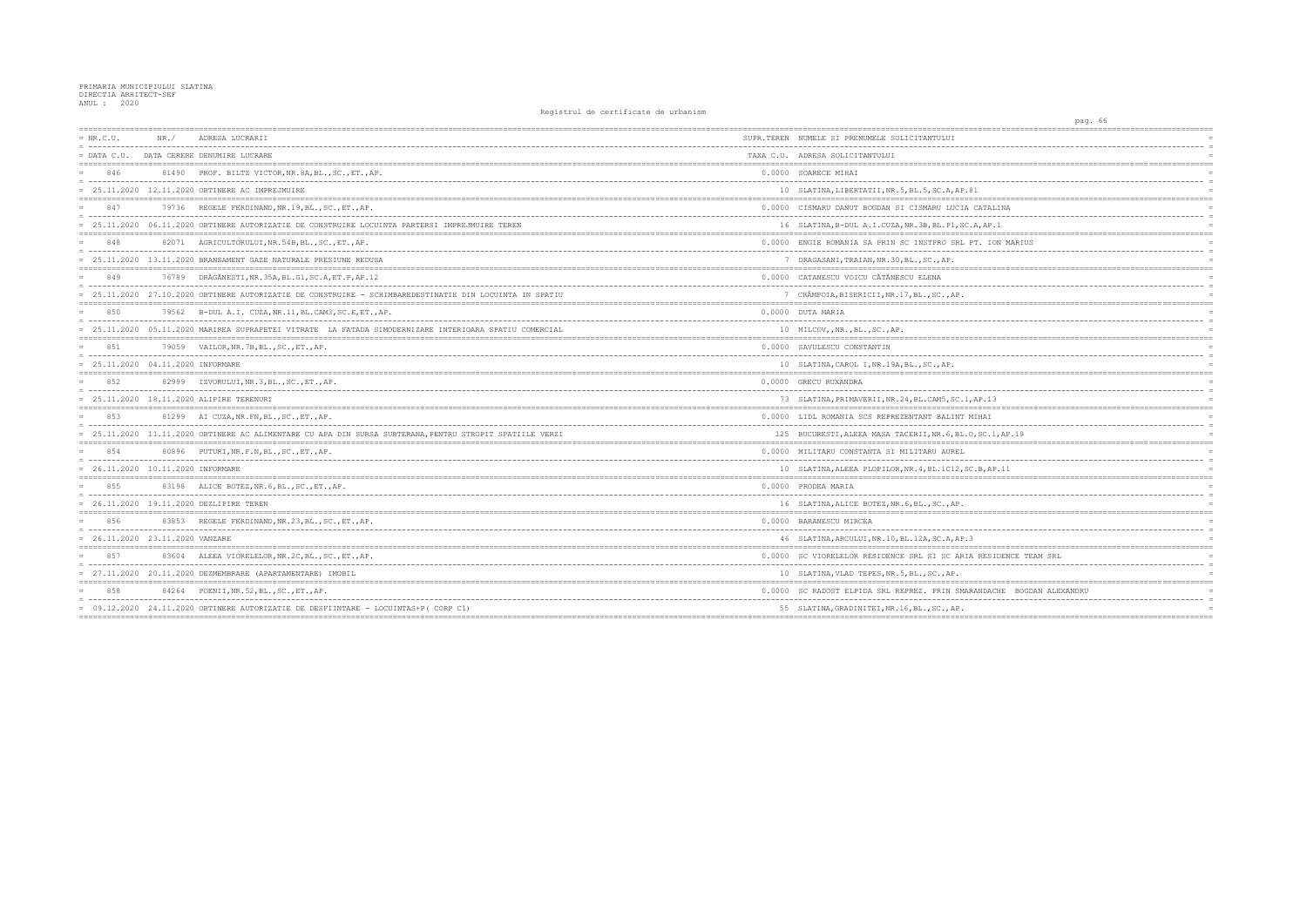| $= NR.C.U.$                         | NR. / | ADRESA LUCRARII                                                                                          | SUPR.TEREN NUMELE SI PRENUMELE SOLICITANTULUI        |
|-------------------------------------|-------|----------------------------------------------------------------------------------------------------------|------------------------------------------------------|
| $=$ DATA C.U.                       |       | DATA CERERE DENUMIRE LUCRARE                                                                             | TAXA C.U. ADRESA SOLICITANTULUI                      |
| 846                                 |       | 81490 PROF. BILTZ VICTOR, NR. 8A, BL., SC., ET., AP.                                                     | 0.0000 SOARECE MIHAI                                 |
|                                     |       | $= 25.11.2020$ 12.11.2020 OBTINERE AC IMPREJMUIRE                                                        | 10 SLATINA, LIBERTATII, NR. 5, BL. 5, SC. A, AP. 81  |
| 847                                 |       | 79736 REGELE FERDINAND, NR. 19, BL., SC., ET., AP.                                                       | 0.0000 CISMARU DANUT BOGDAN SI CISMARU LUCIA CAT     |
|                                     |       | 25.11.2020 06.11.2020 OBTINERE AUTORIZATIE DE CONSTRUIRE LOCUINTA PARTERSI IMPREJMUIRE TEREN             | 16 SLATINA, B-DUL A.I.CUZA, NR. 3B, BL. P1, SC.A, A  |
| 848                                 |       | 82071 AGRICULTORULUI, NR. 54B, BL., SC., ET., AP.                                                        | 0.0000 ENGIE ROMANIA SA PRIN SC INSTPRO SRL PT.      |
|                                     |       | = 25.11.2020 13.11.2020 BRANSAMENT GAZE NATURALE PRESIUNE REDUSA                                         | 7 DRAGASANI, TRAIAN, NR. 30, BL., SC., AP.           |
| 849                                 |       | 76789 DRÃGÃNESTI, NR. 35A, BL. G1, SC. A, ET. P, AP. 12                                                  | 0.0000 CATANESCU VOICU CÃTÃNESCU ELENA               |
|                                     |       | = 25.11.2020 27.10.2020 OBTINERE AUTORIZATIE DE CONSTRUIRE - SCHIMBAREDESTINATIE DIN LOCUINTA IN SPATIU  | 7 CRÂMPOIA, BISERICII, NR.17, BL., SC., AP.          |
| 850                                 |       | 79562 B-DUL A.I. CUZA, NR.11, BL.CAM3, SC.E, ET., AP.                                                    | 0.0000 DUTA MARIA                                    |
|                                     |       | 25.11.2020 05.11.2020 MARIREA SUPRAFETEI VITRATE LA FATADA SIMODERNIZARE INTERIOARA SPATIU COMERCIAL     | 10 MILCOV, NR., BL., SC., AP.                        |
| 8.51                                |       | 79059 VAILOR, NR. 7B, BL., SC., ET., AP.                                                                 | 0.0000 SAVULESCU CONSTANTIN                          |
| $= 25.11.2020 04.11.2020$ INFORMARE |       |                                                                                                          | 10 SLATINA, CAROL I, NR. 19A, BL., SC., AP.          |
| 8.52                                |       | 82999 IZVORULUI, NR.3, BL., SC., ET., AP.                                                                | 0.0000 GRECU RUXANDRA                                |
|                                     |       | = 25.11.2020 18.11.2020 ALIPIRE TERENURI                                                                 | 73 SLATINA, PRIMAVERII, NR. 24, BL. CAM5, SC. 1, AP. |
| 853                                 |       | 81299 AI CUZA, NR. FN, BL., SC., ET., AP.                                                                | 0.0000 LIDL ROMANIA SCS REPREZENTANT BALINT MIHA     |
|                                     |       | = 25.11.2020 11.11.2020 OBTINERE AC ALIMENTARE CU APA DIN SURSA SUBTERANA, PENTRU STROPIT SPATIILE VERZI | 125 BUCURESTI, ALEEA MASA TACERII, NR. 6, BL. O, SC  |
| 854                                 |       | 80896 PUTURI, NR.F.N, BL., SC., ET., AP.                                                                 | 0.0000 MILITARU CONSTANTA SI MILITARU AUREL          |
| = 26.11.2020 10.11.2020 INFORMARE   |       |                                                                                                          | 10 SLATINA, ALEEA PLOPILOR, NR. 4, BL. 1C12, SC.B.   |
|                                     |       | 83198 ALICE BOTEZ, NR. 6, BL., SC., ET., AP.                                                             | 0.0000 PRODEA MARIA                                  |
|                                     |       | = 26.11.2020 19.11.2020 DEZLIPIRE TEREN                                                                  | 16 SLATINA, ALICE BOTEZ, NR. 6, BL., SC., AP.        |
| 856                                 |       | 83853 REGELE FERDINAND, NR. 23, BL., SC., ET., AP.                                                       | 0.0000 BARANESCU MIRCEA                              |
| = 26.11.2020 23.11.2020 VANZARE     |       |                                                                                                          | 46 SLATINA, ARCULUI, NR.10, BL.12A, SC.A, AP.3       |
| 857                                 |       | 83604 ALEEA VIORELELOR, NR. 2C, BL., SC., ET., AP.                                                       | 0.0000 SC VIORELELOR RESIDENCE SRL SI SC ARIA RE     |
|                                     |       | $= 27.11.2020 20.11.2020 DEZMEMBRARE (APARTAMENTARE) IMOBIL$                                             | 10 SLATINA, VLAD TEPES, NR. 5, BL., SC., AP.         |
| 858                                 |       | 84264 POENII, NR. 52, BL., SC., ET., AP.                                                                 | 0.0000 SC RADOST ELPIDA SRL REPREZ. PRIN SMARAND     |
|                                     |       | = 09.12.2020 24.11.2020 OBTINERE AUTORIZATIE DE DESFIINTARE - LOCUINTAS+P( CORP C1)                      | 55 SLATINA, GRADINITEI, NR. 16, BL., SC., AP.        |
|                                     |       |                                                                                                          |                                                      |

| pag. 66                                                  |            |
|----------------------------------------------------------|------------|
| ------------------------------<br>====================== |            |
|                                                          | $=$        |
|                                                          | $=$        |
|                                                          |            |
|                                                          |            |
| 81                                                       | $=$<br>$=$ |
|                                                          |            |
| CATALINA                                                 | $=$        |
|                                                          | $=$        |
| .A, AP.1                                                 | $=$        |
| PT. ION MARIUS                                           | $=$        |
|                                                          | $\equiv$   |
|                                                          |            |
|                                                          |            |
|                                                          | $=$        |
|                                                          |            |
|                                                          | $=$        |
|                                                          |            |
|                                                          | $=$        |
|                                                          |            |
|                                                          |            |
|                                                          | $=$        |
|                                                          | $=$        |
|                                                          |            |
|                                                          | $=$        |
| $,$ AP.13                                                | $=$        |
| ==========                                               | $=$        |
| MIHAI<br>----------                                      | $=$        |
| 0, SC.1, AP.19                                           | $=$        |
| ------------<br>$=$<br>;==============================   | $=$ $=$    |
|                                                          | $=$        |
|                                                          | $=$<br>$=$ |
| C.B,AP.11                                                |            |
|                                                          |            |
|                                                          | $=$        |
|                                                          | $=$        |
|                                                          |            |
|                                                          | $=$        |
| 3                                                        | $=$        |
|                                                          |            |
| A RESIDENCE TEAM SRL                                     |            |
|                                                          |            |
|                                                          |            |
| RANDACHE<br>BOGDAN ALEXANDRU                             |            |
|                                                          | $=$        |
|                                                          | $=$        |
|                                                          |            |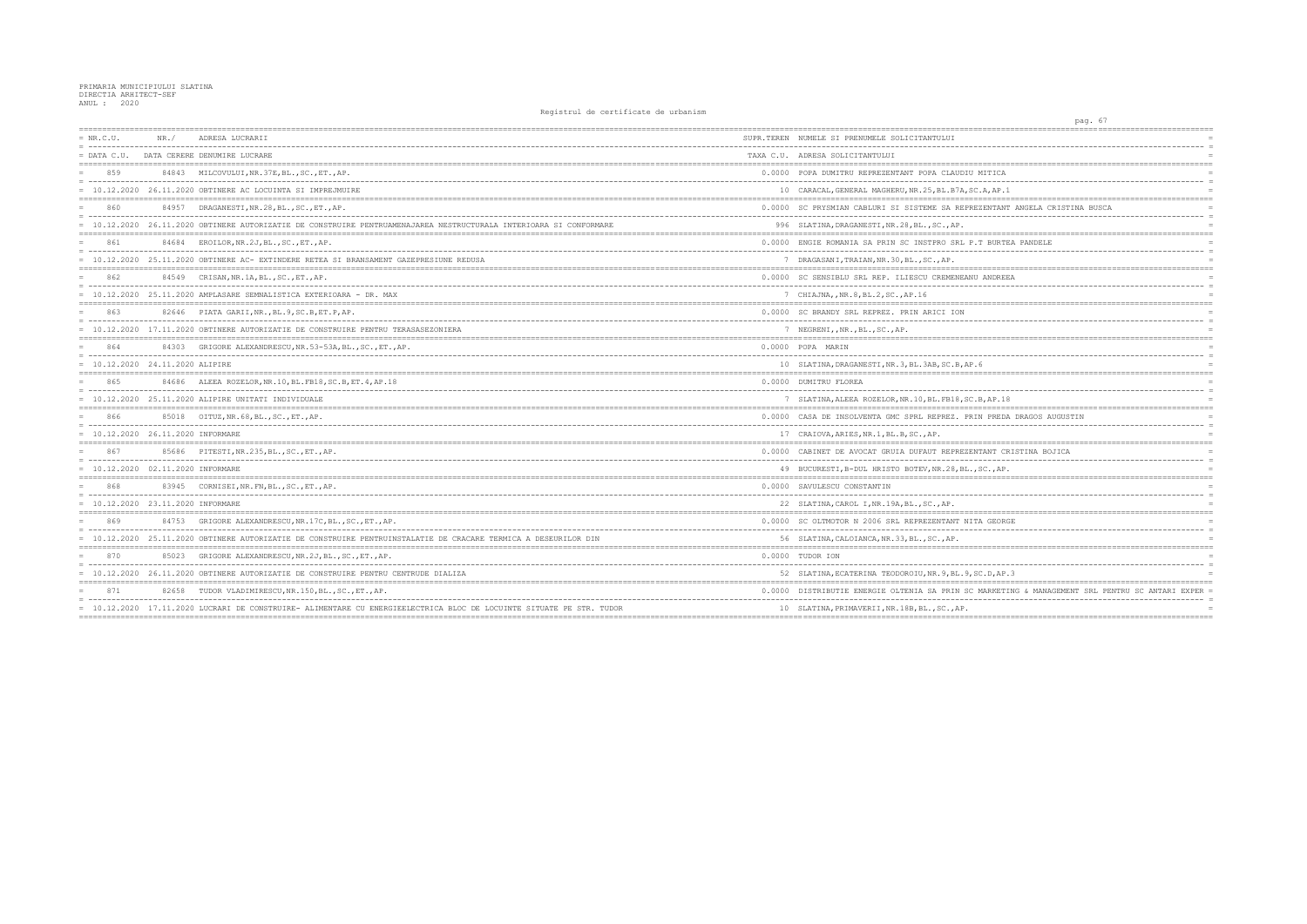| $= NR.C.U.$                         | NR. / | ADRESA LUCRARII                                                                                                      | SUPR.TEREN NUMELE SI PRENUMELE SOLICITANTULUI        |
|-------------------------------------|-------|----------------------------------------------------------------------------------------------------------------------|------------------------------------------------------|
| $=$ DATA C.U.                       |       | DATA CERERE DENUMIRE LUCRARE                                                                                         | TAXA C.U. ADRESA SOLICITANTULUI                      |
| 859                                 |       | 84843 MILCOVULUI, NR. 37E, BL., SC., ET., AP.                                                                        | 0.0000 POPA DUMITRU REPREZENTANT POPA CLAUDIU MIT    |
|                                     |       | $= 10.12.2020$ 26.11.2020 OBTINERE AC LOCUINTA SI IMPREJMUIRE                                                        | 10 CARACAL, GENERAL MAGHERU, NR. 25, BL. B7A, SC.A,  |
| 860                                 |       | 84957 DRAGANESTI, NR.28, BL., SC., ET., AP.                                                                          | 0.0000 SC PRYSMIAN CABLURI SI SISTEME SA REPREZEN    |
|                                     |       | 10.12.2020 26.11.2020 OBTINERE AUTORIZATIE DE CONSTRUIRE PENTRUAMENAJAREA NESTRUCTURALA INTERIOARA SI CONFORMARE     | 996 SLATINA, DRAGANESTI, NR. 28, BL., SC., AP.       |
| 861                                 |       | 84684 EROILOR, NR. 2J, BL., SC., ET., AP.                                                                            | 0.0000 ENGIE ROMANIA SA PRIN SC INSTPRO SRL P.T B    |
|                                     |       | = 10.12.2020 25.11.2020 OBTINERE AC- EXTINDERE RETEA SI BRANSAMENT GAZEPRESIUNE REDUSA                               | 7 DRAGASANI, TRAIAN, NR. 30, BL., SC., AP.           |
| 862                                 |       | 84549 CRISAN, NR. 1A, BL., SC., ET., AP.                                                                             | 0.0000 SC SENSIBLU SRL REP. ILIESCU CREMENEANU AN    |
|                                     |       | $= 10.12.2020$ 25.11.2020 AMPLASARE SEMNALISTICA EXTERIOARA - DR. MAX                                                | 7 CHIAJNA, , NR.8, BL.2, SC., AP.16                  |
| 863                                 |       | 82646 PIATA GARII, NR., BL. 9, SC. B, ET. P, AP.                                                                     | 0.0000 SC BRANDY SRL REPREZ. PRIN ARICI ION          |
|                                     |       | = 10.12.2020 17.11.2020 OBTINERE AUTORIZATIE DE CONSTRUIRE PENTRU TERASASEZONIERA                                    | 7 NEGRENI, , NR., BL., SC., AP.                      |
| 864                                 |       | 84303 GRIGORE ALEXANDRESCU, NR.53-53A, BL., SC., ET., AP.                                                            | 0.0000 POPA MARIN                                    |
| $= 10.12.2020 24.11.2020 ALIPIRE$   |       |                                                                                                                      | 10 SLATINA, DRAGANESTI, NR. 3, BL. 3AB, SC. B, AP. 6 |
| 865                                 | 84686 | ALEEA ROZELOR, NR.10, BL.FB18, SC.B, ET.4, AP.18                                                                     | 0.0000 DUMITRU FLOREA                                |
|                                     |       | $= 10.12.2020$ 25.11.2020 ALIPIRE UNITATI INDIVIDUALE                                                                | 7 SLATINA, ALEEA ROZELOR, NR. 10, BL. FB18, SC. B, A |
| 866                                 |       | 85018 OITUZ, NR. 68, BL., SC., ET., AP.                                                                              | 0.0000 CASA DE INSOLVENTA GMC SPRL REPREZ. PRIN P    |
| = 10.12.2020 26.11.2020 INFORMARE   |       |                                                                                                                      | 17 CRAIOVA, ARIES, NR. 1, BL. B, SC., AP.            |
| 867                                 |       | 85686 PITESTI, NR. 235, BL., SC., ET., AP.                                                                           | 0.0000 CABINET DE AVOCAT GRUIA DUFAUT REPREZENTAN    |
| $= 10.12.2020 02.11.2020$ INFORMARE |       |                                                                                                                      | 49 BUCURESTI, B-DUL HRISTO BOTEV, NR.28, BL., SC.    |
| 868                                 |       | 83945 CORNISEI, NR. FN, BL., SC., ET., AP.                                                                           | 0.0000 SAVULESCU CONSTANTIN                          |
| $= 10.12.2020 23.11.2020$ INFORMARE |       |                                                                                                                      | 22 SLATINA, CAROL I, NR. 19A, BL., SC., AP.          |
| 869                                 |       | 84753 GRIGORE ALEXANDRESCU, NR. 17C, BL., SC., ET., AP.                                                              | 0.0000 SC OLTMOTOR N 2006 SRL REPREZENTANT NITA G    |
|                                     |       | = 10.12.2020 25.11.2020 OBTINERE AUTORIZATIE DE CONSTRUIRE PENTRUINSTALATIE DE CRACARE TERMICA A DESEURILOR DIN      | 56 SLATINA, CALOIANCA, NR.33, BL., SC., AP.          |
| 870                                 |       | 85023 GRIGORE ALEXANDRESCU, NR.2J, BL., SC., ET., AP.                                                                | 0.0000 TUDOR ION                                     |
|                                     |       | = 10.12.2020 26.11.2020 OBTINERE AUTORIZATIE DE CONSTRUIRE PENTRU CENTRUDE DIALIZA                                   | 52 SLATINA, ECATERINA TEODOROIU, NR. 9, BL. 9, SC. D |
| 871                                 |       | 82658 TUDOR VLADIMIRESCU, NR. 150, BL., SC., ET., AP.                                                                | 0.0000 DISTRIBUTIE ENERGIE OLTENIA SA PRIN SC MAR    |
|                                     |       | = 10.12.2020 17.11.2020 LUCRARI DE CONSTRUIRE- ALIMENTARE CU ENERGIEELECTRICA BLOC DE LOCUINTE SITUATE PE STR. TUDOR | 10 SLATINA, PRIMAVERII, NR. 18B, BL., SC., AP.       |
|                                     |       |                                                                                                                      |                                                      |

| pag. 67                                             |                 |
|-----------------------------------------------------|-----------------|
|                                                     |                 |
|                                                     |                 |
|                                                     | $\equiv$<br>$=$ |
|                                                     |                 |
| 1ITICA                                              | $=$             |
| -----                                               | $=$             |
| A, AP.1                                             | $=$             |
|                                                     | $=$             |
| ZENTANT ANGELA CRISTINA BUSCA                       |                 |
|                                                     | $=$<br>$=$      |
|                                                     | $=$             |
| <b>F BURTEA PANDELE</b>                             | $=$             |
|                                                     | $=$             |
|                                                     | $=$             |
|                                                     |                 |
| ANDREEA                                             | $=$             |
|                                                     | $\equiv$        |
|                                                     | $=$             |
|                                                     | $=$             |
|                                                     | $\equiv$        |
|                                                     | $=$             |
|                                                     |                 |
|                                                     | $=$             |
|                                                     | $=$             |
| ś                                                   | $=$             |
|                                                     | $=$             |
|                                                     | $=$             |
| 3,AP.18                                             | $=$             |
|                                                     |                 |
| V PREDA DRAGOS AUGUSTIN                             | $=$             |
|                                                     |                 |
|                                                     | $=$             |
|                                                     |                 |
| TANT CRISTINA BOJICA                                | $=$             |
| $SC.$ , $AP.$                                       | $=$             |
|                                                     | $=$             |
|                                                     | $=$             |
|                                                     | $\equiv$        |
|                                                     | $=$             |
|                                                     |                 |
| A GEORGE                                            | $=$             |
|                                                     | $=$             |
|                                                     |                 |
|                                                     |                 |
|                                                     | $=$             |
| C.D,AP.3                                            | $=$             |
|                                                     |                 |
| AARKETING & MANAGEMENT SRL PENTRU SC ANTARI EXPER = |                 |
|                                                     | $\equiv$        |
|                                                     | $=$             |
|                                                     |                 |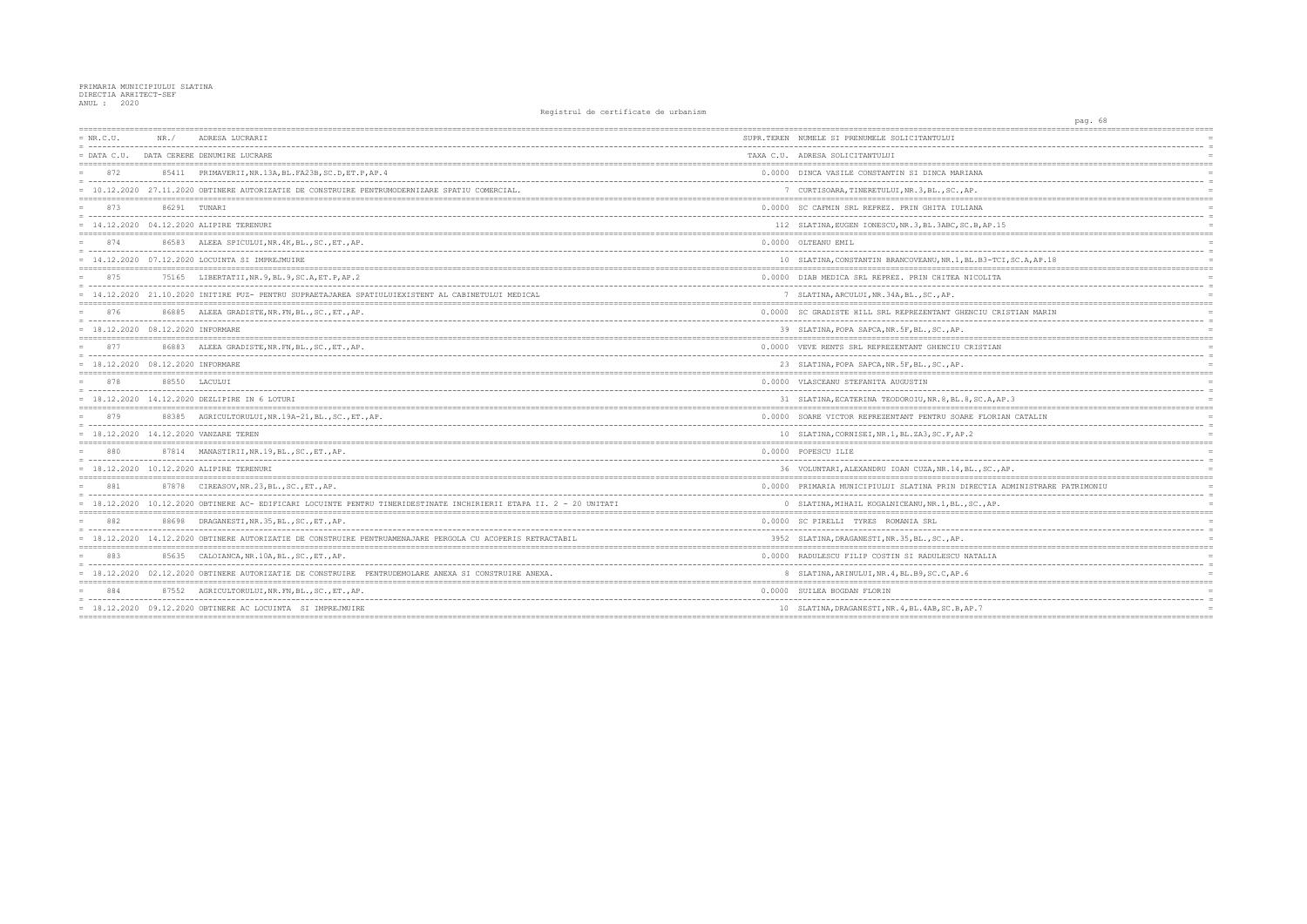| $= NR.C.U.$                         | NR. / | ADRESA LUCRARII                                                                                                                                                                                                                                                                 | SUPR.TEREN NUMELE SI PRENUMELE SOLICITANTULUI          |
|-------------------------------------|-------|---------------------------------------------------------------------------------------------------------------------------------------------------------------------------------------------------------------------------------------------------------------------------------|--------------------------------------------------------|
| $=$ DATA C.U.                       |       | DATA CERERE DENUMIRE LUCRARE                                                                                                                                                                                                                                                    | TAXA C.U. ADRESA SOLICITANTULUI                        |
| 872                                 |       | 85411 PRIMAVERII, NR.13A, BL.FA23B, SC.D, ET.P, AP. 4                                                                                                                                                                                                                           | 0.0000 DINCA VASILE CONSTANTIN SI DINCA MARIANA        |
|                                     |       | = 10.12.2020 27.11.2020 OBTINERE AUTORIZATIE DE CONSTRUIRE PENTRUMODERNIZARE SPATIU COMERCIAL.                                                                                                                                                                                  | 7 CURTISOARA, TINERETULUI, NR. 3, BL., SC., AP.        |
| 873                                 |       | 86291 TUNARI                                                                                                                                                                                                                                                                    | 0.0000 SC CAFMIN SRL REPREZ. PRIN GHITA IULIANA        |
|                                     |       | = 14.12.2020 04.12.2020 ALIPIRE TERENURI                                                                                                                                                                                                                                        | 112 SLATINA, EUGEN IONESCU, NR. 3, BL. 3ABC, SC. B, AE |
| 874                                 |       | 86583 ALEEA SPICULUI, NR. 4K, BL., SC., ET., AP.                                                                                                                                                                                                                                | 0.0000 OLTEANU EMIL                                    |
|                                     |       | $= 14.12.2020$ 07.12.2020 LOCUINTA SI IMPREJMUIRE                                                                                                                                                                                                                               | 10 SLATINA, CONSTANTIN BRANCOVEANU, NR. 1, BL. B3-     |
| 875                                 |       | 75165 LIBERTATII, NR. 9, BL. 9, SC. A, ET. P, AP. 2                                                                                                                                                                                                                             | 0.0000 DIAB MEDICA SRL REPREZ. PRIN CHITEA NICOLI      |
|                                     |       | = 14.12.2020 21.10.2020 INITIRE PUZ- PENTRU SUPRAETAJAREA SPATIULUIEXISTENT AL CABINETULUI MEDICAL                                                                                                                                                                              | 7 SLATINA, ARCULUI, NR.34A, BL., SC., AP.              |
| 876                                 |       | 86885 ALEEA GRADISTE, NR. FN, BL., SC., ET., AP.                                                                                                                                                                                                                                | 0.0000 SC GRADISTE HILL SRL REPREZENTANT GHENCIU       |
| = 18.12.2020 08.12.2020 INFORMARE   |       |                                                                                                                                                                                                                                                                                 | 39 SLATINA, POPA SAPCA, NR. 5F, BL., SC., AP.          |
| 877                                 |       | 86883 ALEEA GRADISTE, NR. FN, BL., SC., ET., AP.                                                                                                                                                                                                                                | 0.0000 VEVE RENTS SRL REPREZENTANT GHENCIU CRISTI      |
| $= 18.12.2020 08.12.2020$ INFORMARE |       |                                                                                                                                                                                                                                                                                 | 23 SLATINA, POPA SAPCA, NR. 5F, BL., SC., AP.          |
| 878                                 |       | 88550 LACULUI                                                                                                                                                                                                                                                                   | 0.0000 VLASCEANU STEFANITA AUGUSTIN                    |
|                                     |       | $= 18.12.2020$ 14.12.2020 DEZLIPIRE IN 6 LOTURI                                                                                                                                                                                                                                 | 31 SLATINA, ECATERINA TEODOROIU, NR. 8, BL. 8, SC. A   |
| 879                                 |       | 88385 AGRICULTORULUI, NR. 19A-21, BL., SC., ET., AP.                                                                                                                                                                                                                            | 0.0000 SOARE VICTOR REPREZENTANT PENTRU SOARE FLO      |
|                                     |       | $= 18.12.2020$ $14.12.2020$ VANZARE TEREN                                                                                                                                                                                                                                       | 10 SLATINA, CORNISEI, NR. 1, BL. ZA3, SC. F, AP. 2     |
| 880                                 |       | 87814 MANASTIRII, NR.19, BL., SC., ET., AP.                                                                                                                                                                                                                                     | 0.0000 POPESCU ILIE                                    |
|                                     |       | = 18.12.2020 10.12.2020 ALIPIRE TERENURI                                                                                                                                                                                                                                        | 36 VOLUNTARI, ALEXANDRU IOAN CUZA, NR. 14, BL., SO     |
| 881                                 |       | 87878 CIREASOV, NR. 23, BL., SC., ET., AP.                                                                                                                                                                                                                                      | 0.0000 PRIMARIA MUNICIPIULUI SLATINA PRIN DIRECTI      |
|                                     |       | = 18.12.2020 10.12.2020 OBTINERE AC- EDIFICARI LOCUINTE PENTRU TINERIDESTINATE INCHIRIERII ETAPA II. 2 - 20 UNITATI                                                                                                                                                             | 0 SLATINA, MIHAIL KOGALNICEANU, NR. 1, BL., SC., A     |
| 882                                 |       | 88698 DRAGANESTI, NR. 35, BL., SC., ET., AP.<br>- concerted the control of the control of the control of the control of the control of the control of the control of the control of the control of the control of the control of the control of the control of the control of t | 0.0000 SC PIRELLI TYRES ROMANIA SRL                    |
|                                     |       | = 18.12.2020 14.12.2020 OBTINERE AUTORIZATIE DE CONSTRUIRE PENTRUAMENAJARE PERGOLA CU ACOPERIS RETRACTABIL                                                                                                                                                                      | 3952 SLATINA, DRAGANESTI, NR. 35, BL., SC., AP.        |
| 883                                 |       | 85635 CALOIANCA, NR.10A, BL., SC., ET., AP.                                                                                                                                                                                                                                     | 0.0000 RADULESCU FILIP COSTIN SI RADULESCU NATALI      |
|                                     |       | = 18.12.2020 02.12.2020 OBTINERE AUTORIZATIE DE CONSTRUIRE PENTRUDEMOLARE ANEXA SI CONSTRUIRE ANEXA.                                                                                                                                                                            | 8 SLATINA, ARINULUI, NR. 4, BL. B9, SC. C, AP. 6       |
| 884                                 |       | 87552 AGRICULTORULUI, NR. FN, BL., SC., ET., AP.                                                                                                                                                                                                                                | 0.0000 SUILEA BOGDAN FLORIN                            |
|                                     |       | = 18.12.2020 09.12.2020 OBTINERE AC LOCUINTA SI IMPREJMUIRE                                                                                                                                                                                                                     | 10 SLATINA, DRAGANESTI, NR. 4, BL. 4AB, SC. B, AP. 7   |
|                                     |       |                                                                                                                                                                                                                                                                                 |                                                        |

| pag. 68                                                    |  |
|------------------------------------------------------------|--|
| ;==========<br>=======                                     |  |
| $=$                                                        |  |
| $\equiv$<br>========<br>==========                         |  |
| Í<br>$=$                                                   |  |
| Ŀ.<br>$=$                                                  |  |
| $=$<br>--------------------------------------<br>$=$ = $=$ |  |
| Ĺ<br>$=$                                                   |  |
| $=$                                                        |  |
| AP.15<br>$=$                                               |  |
|                                                            |  |
| $=$<br>$=$                                                 |  |
| 33-TCI, SC.A, AP.18                                        |  |
| <b>DLITA</b><br>$=$                                        |  |
| $\equiv$<br>$=$                                            |  |
| ===========                                                |  |
| IU CRISTIAN MARIN<br>$=$                                   |  |
| $=$<br>$=$                                                 |  |
| -------------------------------------<br>=========         |  |
| <b>STIAN</b><br>$\equiv$                                   |  |
| $=$<br>$=$                                                 |  |
|                                                            |  |
| $=$                                                        |  |
| $=$<br>, A, AP.3<br>$=$                                    |  |
| :========<br>$= - -$                                       |  |
| FLORIAN CATALIN<br>$=$<br>$=$                              |  |
| $=$                                                        |  |
|                                                            |  |
| $=$<br>$=$                                                 |  |
| .SC., AP.<br>$=$                                           |  |
|                                                            |  |
| CTIA ADMINISTRARE PATRIMONIU<br>$=$<br>$=$                 |  |
| .,AP.<br>$=$                                               |  |
|                                                            |  |
| $=$<br>$=$                                                 |  |
| $=$                                                        |  |
| $=$                                                        |  |
| ALIA<br>$=$                                                |  |
| $=$                                                        |  |
| $=$                                                        |  |
| $\equiv$                                                   |  |
| 7<br>$=$                                                   |  |
|                                                            |  |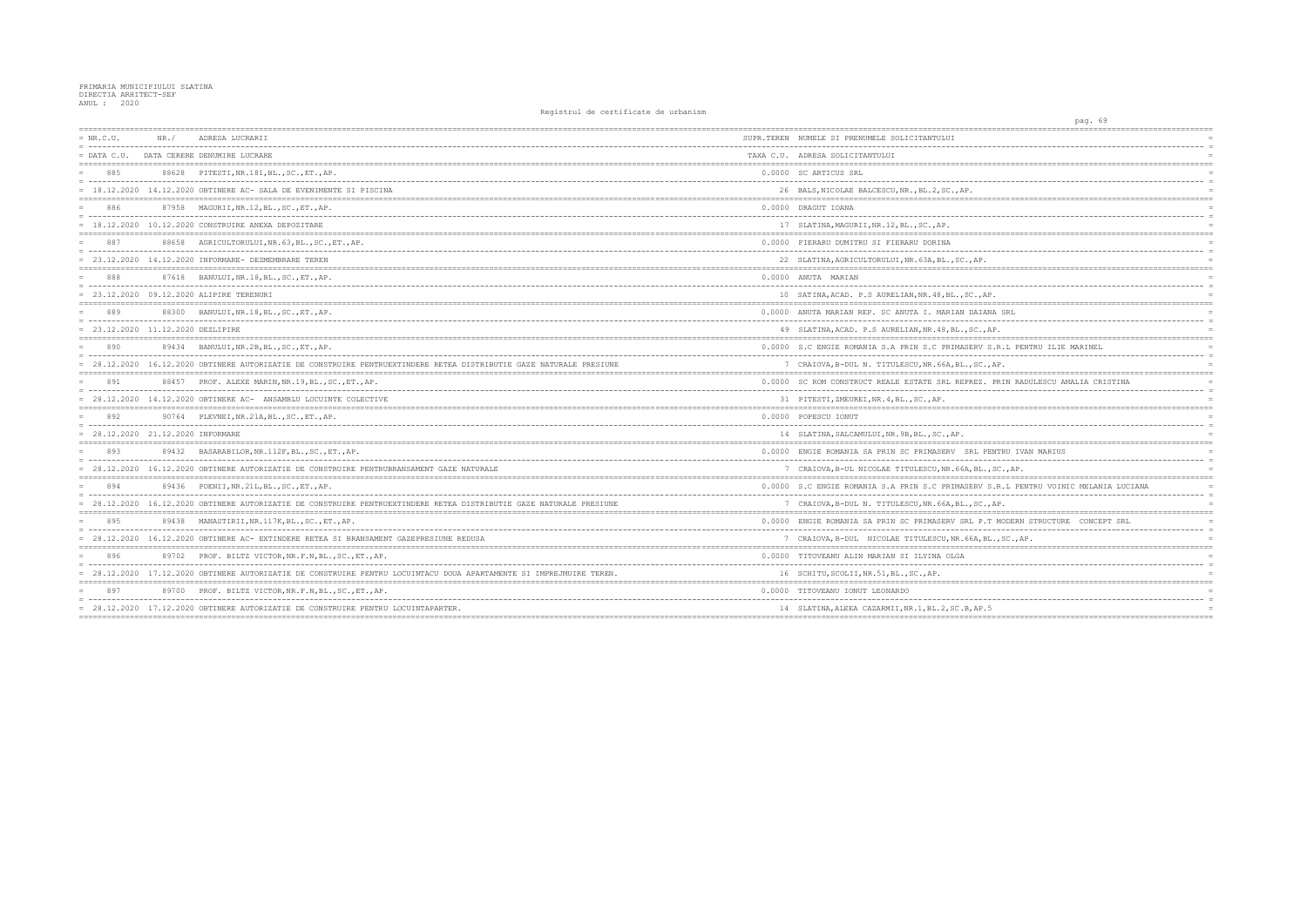| $= NR.C.U.$ | NR. /                           | ADRESA LUCRARII                                                                                                     | SUPR.TEREN NUMELE SI PRENUMELE SOLICITANTULUI          |
|-------------|---------------------------------|---------------------------------------------------------------------------------------------------------------------|--------------------------------------------------------|
|             |                                 | = DATA C.U. DATA CERERE DENUMIRE LUCRARE                                                                            | TAXA C.U. ADRESA SOLICITANTULUI                        |
| 885         |                                 | 88628 PITESTI, NR. 181, BL., SC., ET., AP.                                                                          | 0.0000 SC ARTICUS SRL                                  |
|             |                                 | $= 18.12.2020$ 14.12.2020 OBTINERE AC-SALA DE EVENIMENTE SI PISCINA                                                 | 26 BALS, NICOLAE BALCESCU, NR., BL.2, SC., AP.         |
| 886         |                                 | 87958 MAGURII, NR.12, BL., SC., ET., AP.                                                                            | 0.0000 DRAGUT IOANA                                    |
|             |                                 | $= 18.12.2020 10.12.2020$ CONSTRUIRE ANEXA DEPOZITARE                                                               | 17 SLATINA, MAGURII, NR. 12, BL., SC., AP.             |
|             |                                 | 88658 AGRICULTORULUI, NR. 63, BL., SC., ET., AP.                                                                    | 0.0000 FIERARU DUMITRU SI FIERARU DORINA               |
|             |                                 | $= 23.12.2020$ 14.12.2020 INFORMARE- DEZMEMBRARE TEREN                                                              | 22 SLATINA, AGRICULTORULUI, NR. 63A, BL., SC., AP.     |
| 888         |                                 | 87618 BANULUI, NR.18, BL., SC., ET., AP.                                                                            | 0.0000 ANUTA MARIAN                                    |
|             |                                 | = 23.12.2020 09.12.2020 ALIPIRE TERENURI                                                                            | 10 SATINA, ACAD. P.S AURELIAN, NR. 48, BL., SC., AP    |
| 889         |                                 | 88300 BANULUI, NR.18, BL., SC., ET., AP.                                                                            | 0.0000 ANUTA MARIAN REP. SC ANUTA I. MARIAN DAIAN      |
|             | 23.12.2020 11.12.2020 DEZLIPIRE |                                                                                                                     | 49 SLATINA, ACAD. P.S AURELIAN, NR. 48, BL., SC., Al   |
| 890         |                                 | 89434 BANULUI, NR.2B, BL., SC., ET., AP.                                                                            | 0.0000 S.C ENGIE ROMANIA S.A PRIN S.C PRIMASERV S      |
|             |                                 | = 28.12.2020 16.12.2020 OBTINERE AUTORIZATIE DE CONSTRUIRE PENTRUEXTINDERE RETEA DISTRIBUTIE GAZE NATURALE PRESIUNE | 7 CRAIOVA, B-DUL N. TITULESCU, NR. 66A, BL., SC.,      |
| 891         |                                 | 88457 PROF. ALEXE MARIN, NR. 19, BL., SC., ET., AP.                                                                 | 0.0000 SC ROM CONSTRUCT REALE ESTATE SRL REPREZ. 1     |
|             |                                 | = 28.12.2020 14.12.2020 OBTINERE AC- ANSAMBLU LOCUINTE COLECTIVE                                                    | 31 PITESTI, ZMEUREI, NR. 4, BL., SC., AP.              |
| 892         |                                 | 90764 PLEVNEI, NR. 21A, BL., SC., ET., AP.                                                                          | 0.0000 POPESCU IONUT                                   |
|             | 28.12.2020 21.12.2020 INFORMARE |                                                                                                                     | 14 SLATINA, SALCAMULUI, NR. 9B, BL., SC., AP.          |
| 893         |                                 | 89432 BASARABILOR, NR. 112F, BL., SC., ET., AP.                                                                     | 0.0000 ENGIE ROMANIA SA PRIN SC PRIMASERV SRL PEI      |
|             |                                 | = 28.12.2020 16.12.2020 OBTINERE AUTORIZATIE DE CONSTRUIRE PENTRUBRANSAMENT GAZE NATURALE                           | 7 CRAIOVA, B-UL NICOLAE TITULESCU, NR. 66A, BL.,       |
| 894         |                                 | 89436 POENII, NR. 21L, BL., SC., ET., AP.                                                                           | 0.0000 S.C ENGIE ROMANIA S.A PRIN S.C PRIMASERV S      |
|             |                                 | = 28.12.2020 16.12.2020 OBTINERE AUTORIZATIE DE CONSTRUIRE PENTRUEXTINDERE RETEA DISTRIBUTIE GAZE NATURALE PRESIUNE | 7 CRAIOVA, B-DUL N. TITULESCU, NR. 66A, BL., SC.,      |
| 895         |                                 | 89438 MANASTIRII, NR.117K, BL., SC., ET., AP.                                                                       | 0.0000 ENGIE ROMANIA SA PRIN SC PRIMASERV SRL P.T      |
|             |                                 | = 28.12.2020 16.12.2020 OBTINERE AC- EXTINDERE RETEA SI BRANSAMENT GAZEPRESIUNE REDUSA                              | 7 CRAIOVA, B-DUL NICOLAE TITULESCU, NR. 66A, BL        |
| 896         |                                 | 89702 PROF. BILTZ VICTOR, NR.F.N, BL., SC., ET., AP.                                                                | 0.0000 TITOVEANU ALIN MARIAN SI ILYINA OLGA            |
|             |                                 | = 28.12.2020 17.12.2020 OBTINERE AUTORIZATIE DE CONSTRUIRE PENTRU LOCUINTACU DOUA APARTAMENTE SI IMPREJMUIRE TEREN. | 16 SCHITU, SCOLII, NR.51, BL., SC., AP.                |
| 897         |                                 | 89700 PROF. BILTZ VICTOR, NR.F.N, BL., SC., ET., AP.                                                                | 0.0000 TITOVEANU IONUT LEONARDO                        |
|             |                                 | = 28.12.2020 17.12.2020 OBTINERE AUTORIZATIE DE CONSTRUIRE PENTRU LOCUINTAPARTER.                                   | 14 SLATINA, ALEEA CAZARMII, NR. 1, BL. 2, SC. B, AP. 5 |
|             |                                 |                                                                                                                     |                                                        |

| pag. 69                                                             |  |
|---------------------------------------------------------------------|--|
| ------------------<br>-------------------                           |  |
| $=$                                                                 |  |
| $=$<br>========<br>============                                     |  |
| $=$                                                                 |  |
| $=$<br>$=$                                                          |  |
| --------------------------------------<br>$=$ $=$ $=$               |  |
| $=$<br>$=$                                                          |  |
| $=$                                                                 |  |
|                                                                     |  |
| $=$<br>$=$                                                          |  |
| Ρ.<br>$=$                                                           |  |
| ________                                                            |  |
| $=$<br>$=$                                                          |  |
| , $AP$ .<br>$=$                                                     |  |
| IANA SRL<br>$=$                                                     |  |
| _________<br>$=$                                                    |  |
| $.,$ AP.<br>$=$                                                     |  |
| V S.R.L PENTRU ILIE MARINEL<br>$=$                                  |  |
| ----------<br>$=$                                                   |  |
| C.,AP.<br>$=$<br>$=$                                                |  |
| Z. PRIN RADULESCU AMALIA CRISTINA<br>$=$                            |  |
| ------<br>-----<br>$=$                                              |  |
| $=$<br>:==============================<br>$=$ $=$ $=$               |  |
|                                                                     |  |
| $=$                                                                 |  |
|                                                                     |  |
| PENTRU IVAN MARIUS<br>$=$<br>$---$<br>.                             |  |
| $=$<br>$L$ ., SC., AP.<br>$=$                                       |  |
|                                                                     |  |
| V S.R.L PENTRU VOINIC MELANIA LUCIANA<br>$=$<br>------------<br>$=$ |  |
| C.,AP.<br>$=$                                                       |  |
| P.T MODERN STRUCTURE CONCEPT SRL<br>$=$                             |  |
| ------------------<br>$=$                                           |  |
| ,BL.,SC.,AP.<br>$=$                                                 |  |
| $=$                                                                 |  |
| $=$<br>$=$                                                          |  |
| .==========                                                         |  |
| $=$                                                                 |  |
| $=$<br>P.5<br>$=$                                                   |  |
|                                                                     |  |